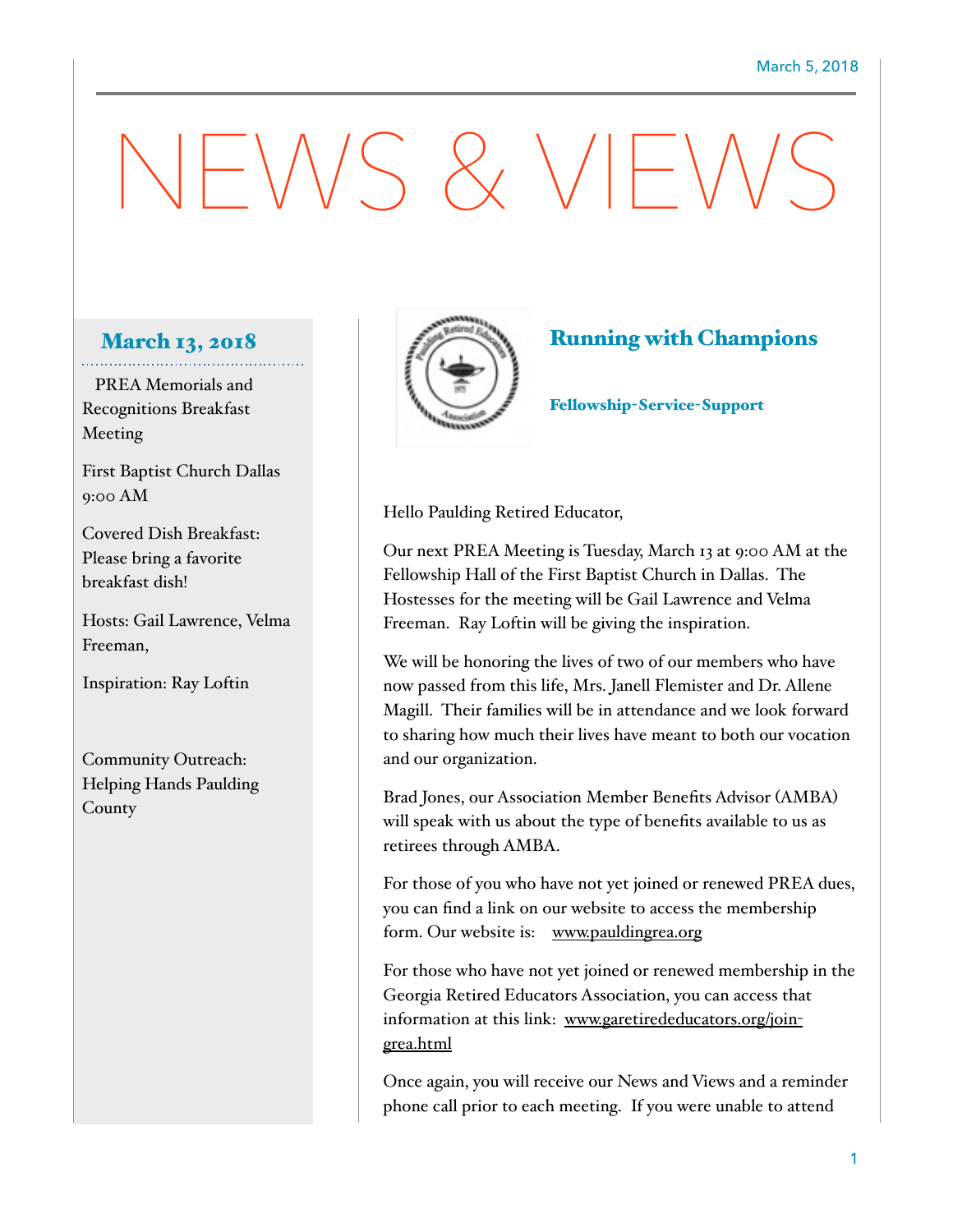## $-N/S \& V/F'$

## March 13, 2018

 PREA Memorials and Recognitions Breakfast Meeting

First Baptist Church Dallas 9:00 AM

Covered Dish Breakfast: Please bring a favorite breakfast dish!

Hosts: Gail Lawrence, Velma Freeman,

Inspiration: Ray Loftin

Community Outreach: Helping Hands Paulding County



## Running with Champions

Fellowship-Service-Support

Hello Paulding Retired Educator,

Our next PREA Meeting is Tuesday, March 13 at 9:00 AM at the Fellowship Hall of the First Baptist Church in Dallas. The Hostesses for the meeting will be Gail Lawrence and Velma Freeman. Ray Loftin will be giving the inspiration.

We will be honoring the lives of two of our members who have now passed from this life, Mrs. Janell Flemister and Dr. Allene Magill. Their families will be in attendance and we look forward to sharing how much their lives have meant to both our vocation and our organization.

Brad Jones, our Association Member Benefits Advisor (AMBA) will speak with us about the type of benefits available to us as retirees through AMBA.

For those of you who have not yet joined or renewed PREA dues, you can find a link on our website to access the membership form. Our website is: [www.pauldingrea.org](http://www.pauldingrea.org)

For those who have not yet joined or renewed membership in the Georgia Retired Educators Association, you can access that [information at this link: www.garetirededucators.org/join](http://www.garetirededucators.org/join-grea.html)grea.html

Once again, you will receive our News and Views and a reminder phone call prior to each meeting. If you were unable to attend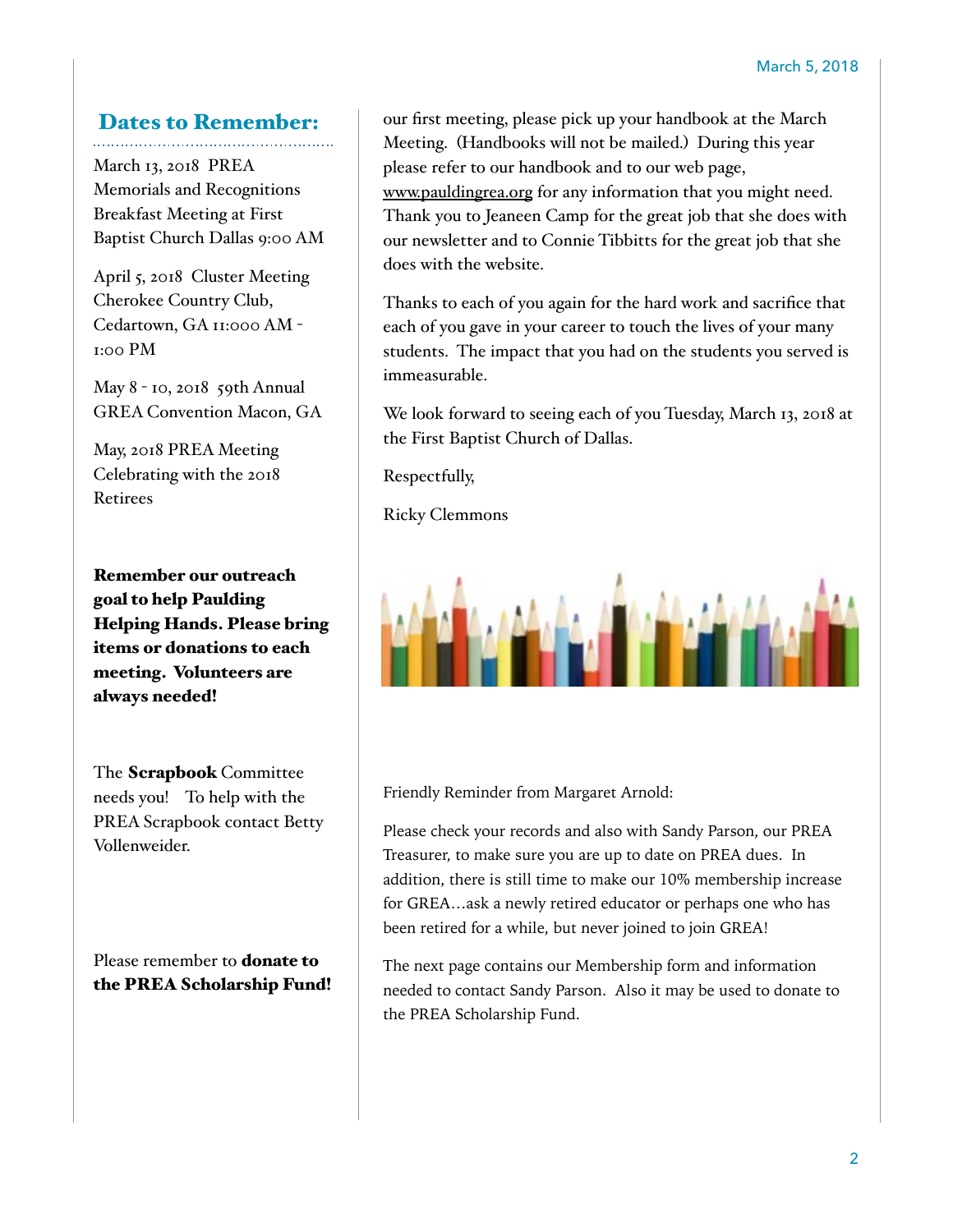## Dates to Remember:

March 13, 2018 PREA Memorials and Recognitions Breakfast Meeting at First Baptist Church Dallas 9:00 AM

April 5, 2018 Cluster Meeting Cherokee Country Club, Cedartown, GA 11:000 AM - 1:00 PM

May 8 - 10, 2018 59th Annual GREA Convention Macon, GA

May, 2018 PREA Meeting Celebrating with the 2018 Retirees

Remember our outreach goal to help Paulding Helping Hands. Please bring items or donations to each meeting. Volunteers are always needed!

The Scrapbook Committee needs you! To help with the PREA Scrapbook contact Betty Vollenweider.

Please remember to donate to the PREA Scholarship Fund!

our first meeting, please pick up your handbook at the March Meeting. (Handbooks will not be mailed.) During this year please refer to our handbook and to our web page, [www.pauldingrea.org](http://www.pauldingrea.org) for any information that you might need. Thank you to Jeaneen Camp for the great job that she does with our newsletter and to Connie Tibbitts for the great job that she does with the website.

Thanks to each of you again for the hard work and sacrifice that each of you gave in your career to touch the lives of your many students. The impact that you had on the students you served is immeasurable.

We look forward to seeing each of you Tuesday, March 13, 2018 at the First Baptist Church of Dallas.

Respectfully,

Ricky Clemmons



Friendly Reminder from Margaret Arnold:

Please check your records and also with Sandy Parson, our PREA Treasurer, to make sure you are up to date on PREA dues. In addition, there is still time to make our 10% membership increase for GREA…ask a newly retired educator or perhaps one who has been retired for a while, but never joined to join GREA!

The next page contains our Membership form and information needed to contact Sandy Parson. Also it may be used to donate to the PREA Scholarship Fund.